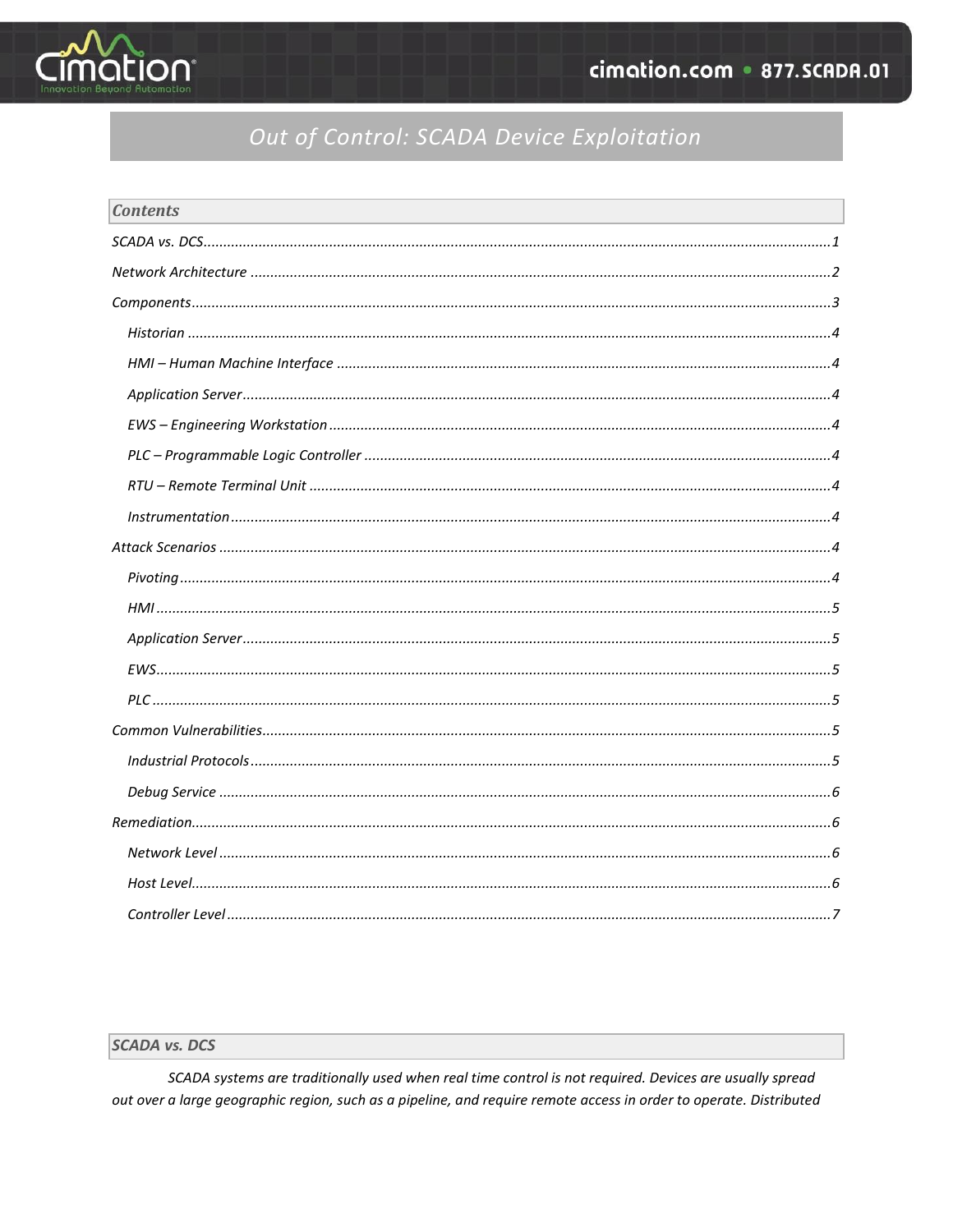

# Out of Control: SCADA Device Exploitation

| <b>Contents</b> |  |
|-----------------|--|
|                 |  |
|                 |  |
|                 |  |
|                 |  |
|                 |  |
|                 |  |
|                 |  |
|                 |  |
|                 |  |
|                 |  |
|                 |  |
|                 |  |
|                 |  |
|                 |  |
|                 |  |
|                 |  |
|                 |  |
|                 |  |
|                 |  |
|                 |  |
|                 |  |
|                 |  |
|                 |  |

# <span id="page-0-0"></span>**SCADA vs. DCS**

SCADA systems are traditionally used when real time control is not required. Devices are usually spread out over a large geographic region, such as a pipeline, and require remote access in order to operate. Distributed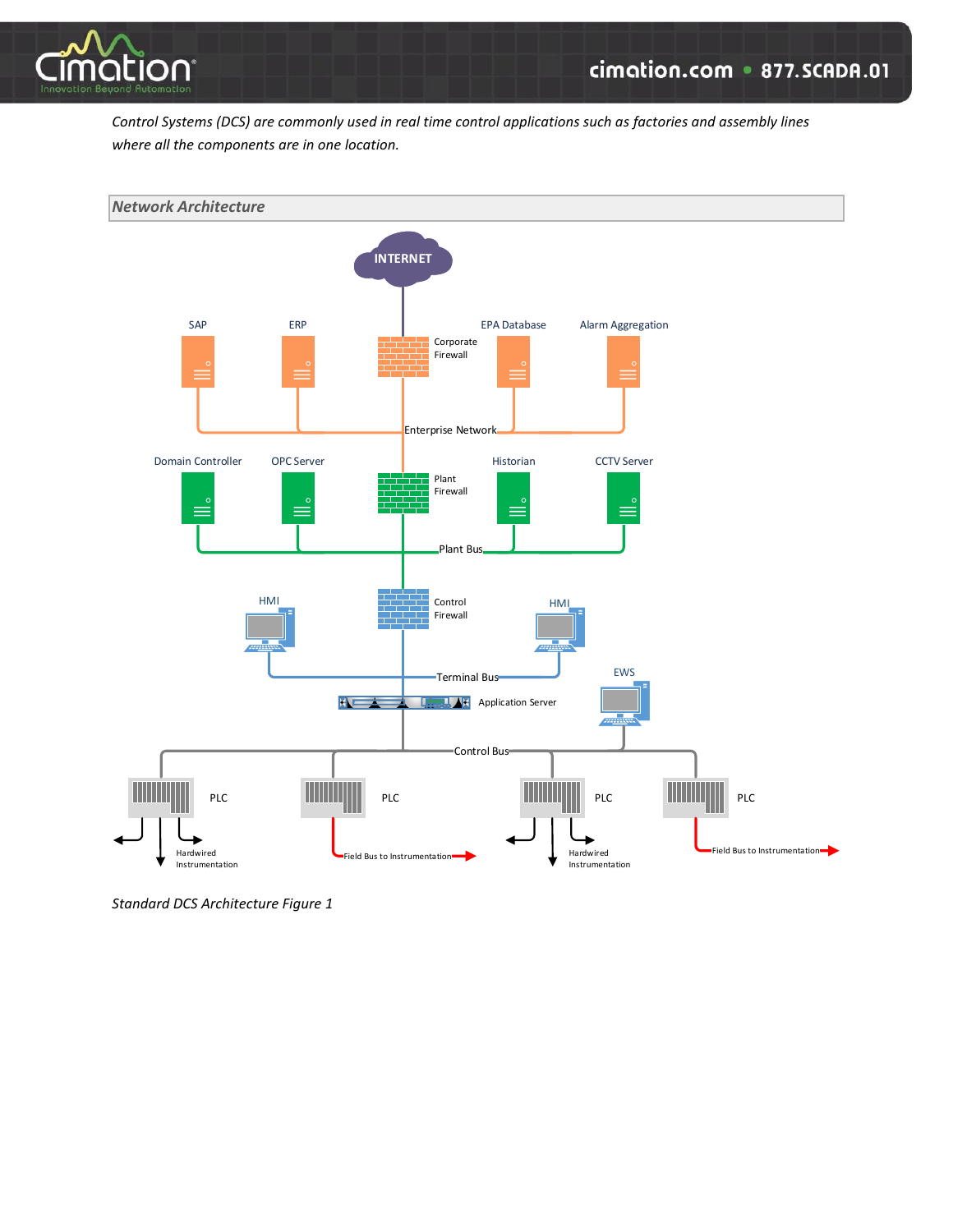

*Control Systems (DCS) are commonly used in real time control applications such as factories and assembly lines where all the components are in one location.*

<span id="page-1-0"></span>

*Standard DCS Architecture Figure 1*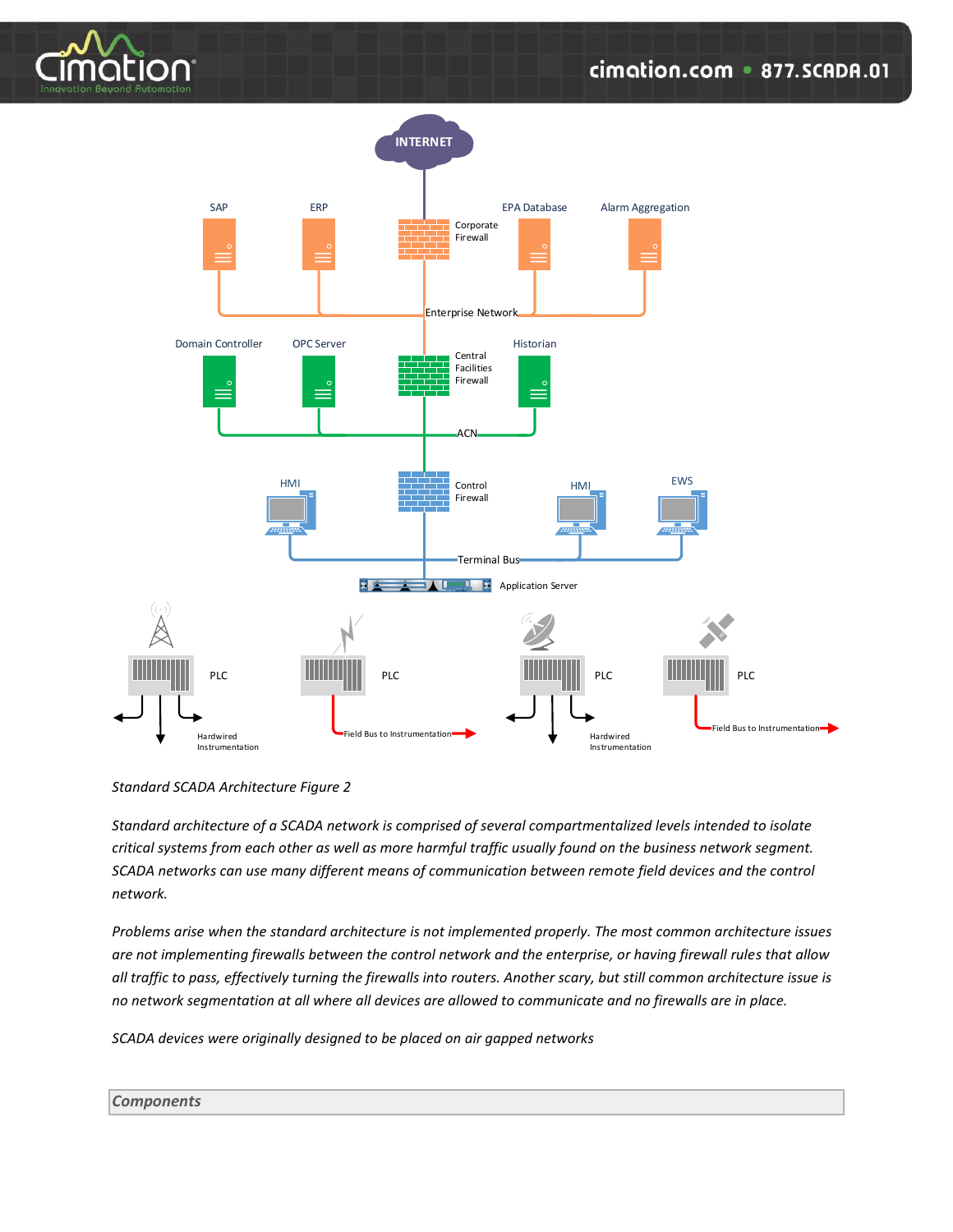



*Standard SCADA Architecture Figure 2*

*Standard architecture of a SCADA network is comprised of several compartmentalized levels intended to isolate critical systems from each other as well as more harmful traffic usually found on the business network segment. SCADA networks can use many different means of communication between remote field devices and the control network.*

*Problems arise when the standard architecture is not implemented properly. The most common architecture issues are not implementing firewalls between the control network and the enterprise, or having firewall rules that allow all traffic to pass, effectively turning the firewalls into routers. Another scary, but still common architecture issue is no network segmentation at all where all devices are allowed to communicate and no firewalls are in place.*

*SCADA devices were originally designed to be placed on air gapped networks* 

### <span id="page-2-0"></span>*Components*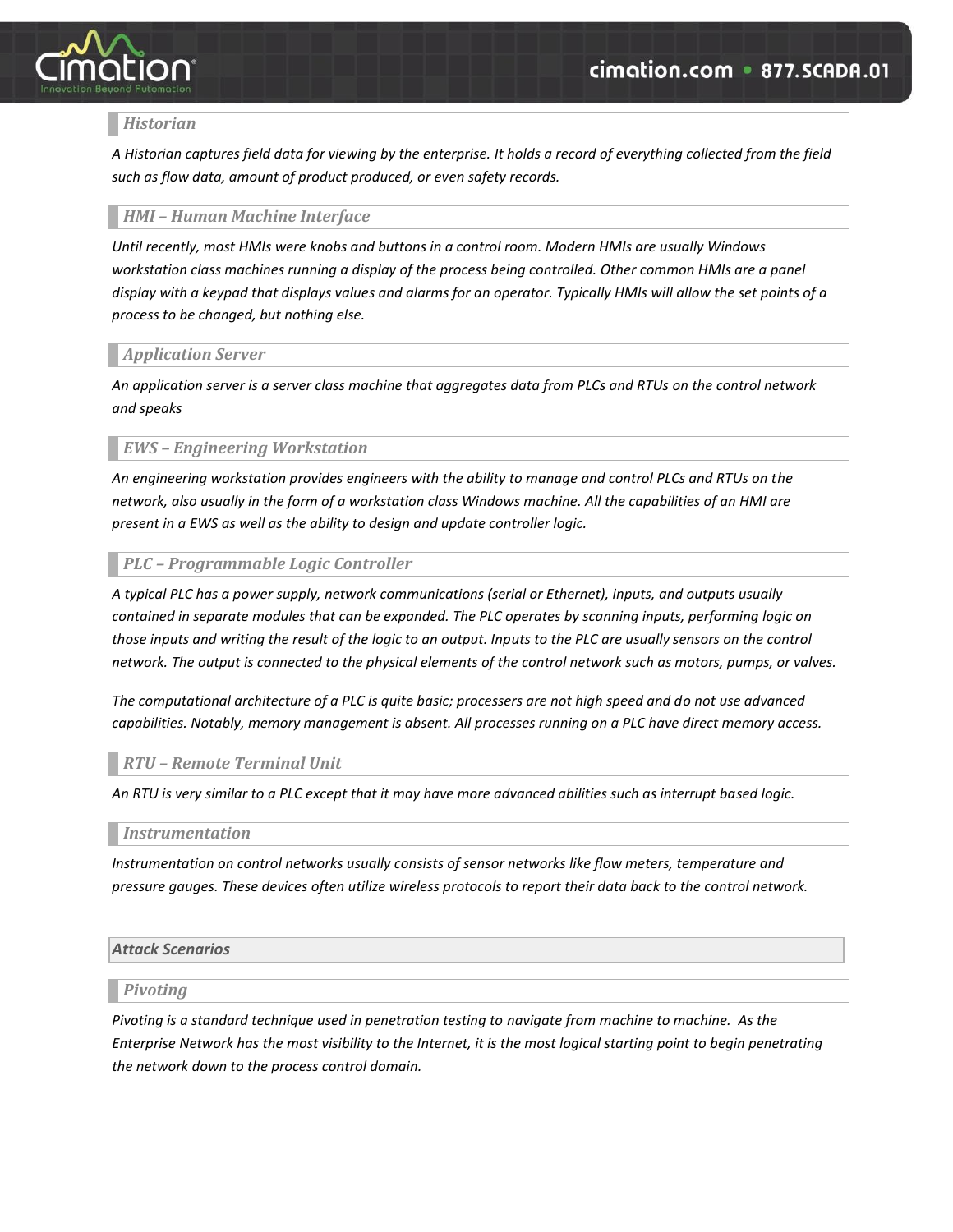

# <span id="page-3-0"></span>*Historian*

*A Historian captures field data for viewing by the enterprise. It holds a record of everything collected from the field such as flow data, amount of product produced, or even safety records.*

## <span id="page-3-1"></span>*HMI – Human Machine Interface*

*Until recently, most HMIs were knobs and buttons in a control room. Modern HMIs are usually Windows workstation class machines running a display of the process being controlled. Other common HMIs are a panel display with a keypad that displays values and alarms for an operator. Typically HMIs will allow the set points of a process to be changed, but nothing else.*

# <span id="page-3-2"></span>*Application Server*

*An application server is a server class machine that aggregates data from PLCs and RTUs on the control network and speaks* 

# <span id="page-3-3"></span>*EWS – Engineering Workstation*

*An engineering workstation provides engineers with the ability to manage and control PLCs and RTUs on the network, also usually in the form of a workstation class Windows machine. All the capabilities of an HMI are present in a EWS as well as the ability to design and update controller logic.*

# <span id="page-3-4"></span>*PLC – Programmable Logic Controller*

*A typical PLC has a power supply, network communications (serial or Ethernet), inputs, and outputs usually contained in separate modules that can be expanded. The PLC operates by scanning inputs, performing logic on*  those inputs and writing the result of the logic to an output. Inputs to the PLC are usually sensors on the control *network. The output is connected to the physical elements of the control network such as motors, pumps, or valves.*

*The computational architecture of a PLC is quite basic; processers are not high speed and do not use advanced capabilities. Notably, memory management is absent. All processes running on a PLC have direct memory access.*

## <span id="page-3-5"></span>*RTU – Remote Terminal Unit*

*An RTU is very similar to a PLC except that it may have more advanced abilities such as interrupt based logic.*

## <span id="page-3-6"></span>*Instrumentation*

*Instrumentation on control networks usually consists of sensor networks like flow meters, temperature and pressure gauges. These devices often utilize wireless protocols to report their data back to the control network.*

## <span id="page-3-7"></span>*Attack Scenarios*

### <span id="page-3-8"></span>*Pivoting*

*Pivoting is a standard technique used in penetration testing to navigate from machine to machine. As the Enterprise Network has the most visibility to the Internet, it is the most logical starting point to begin penetrating the network down to the process control domain.*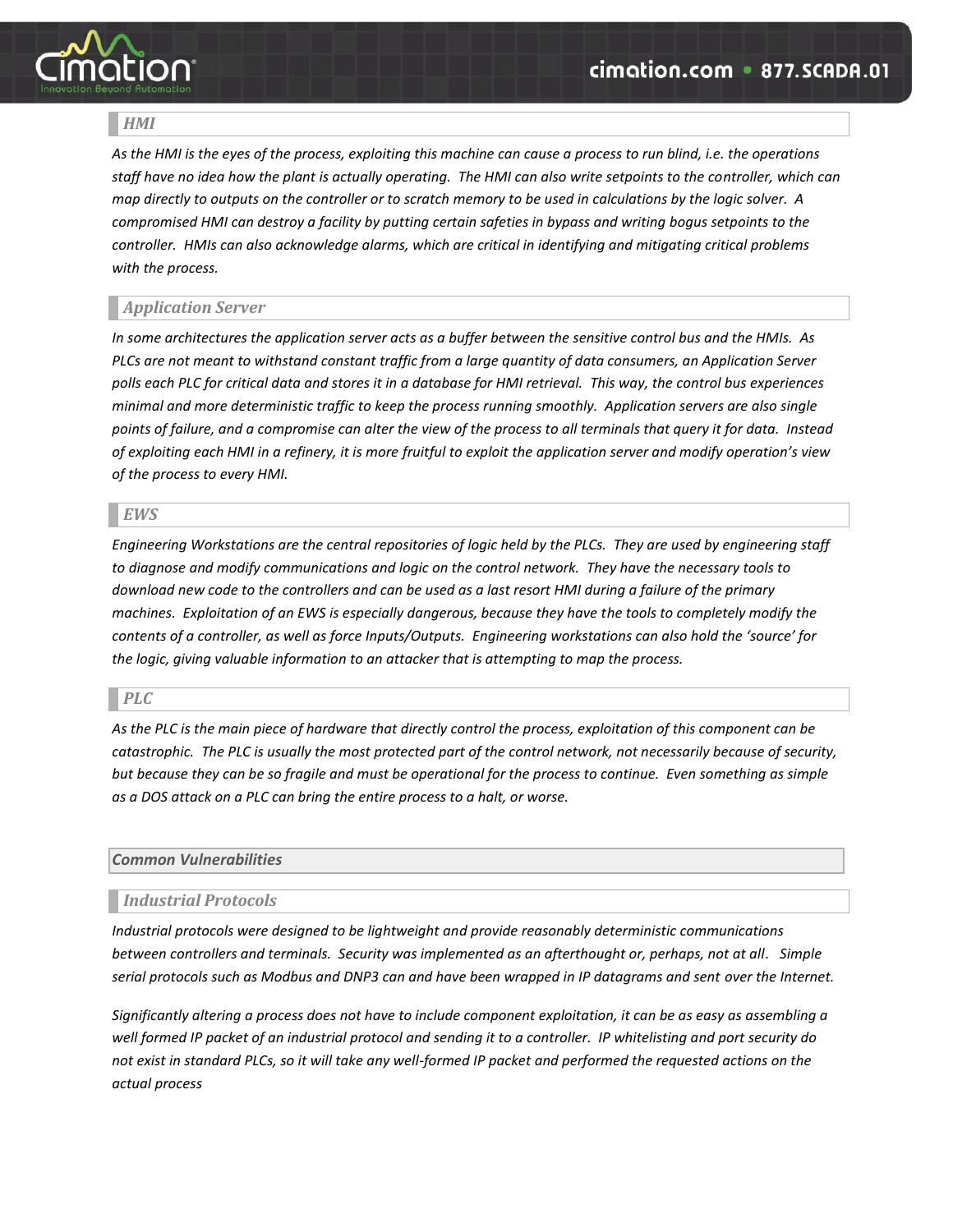

# <span id="page-4-0"></span>*HMI*

*As the HMI is the eyes of the process, exploiting this machine can cause a process to run blind, i.e. the operations staff have no idea how the plant is actually operating. The HMI can also write setpoints to the controller, which can map directly to outputs on the controller or to scratch memory to be used in calculations by the logic solver. A compromised HMI can destroy a facility by putting certain safeties in bypass and writing bogus setpoints to the controller. HMIs can also acknowledge alarms, which are critical in identifying and mitigating critical problems with the process.*

# <span id="page-4-1"></span>*Application Server*

*In some architectures the application server acts as a buffer between the sensitive control bus and the HMIs. As PLCs are not meant to withstand constant traffic from a large quantity of data consumers, an Application Server polls each PLC for critical data and stores it in a database for HMI retrieval. This way, the control bus experiences minimal and more deterministic traffic to keep the process running smoothly. Application servers are also single points of failure, and a compromise can alter the view of the process to all terminals that query it for data. Instead of exploiting each HMI in a refinery, it is more fruitful to exploit the application server and modify operation's view of the process to every HMI.*

# <span id="page-4-2"></span>*EWS*

*Engineering Workstations are the central repositories of logic held by the PLCs. They are used by engineering staff to diagnose and modify communications and logic on the control network. They have the necessary tools to download new code to the controllers and can be used as a last resort HMI during a failure of the primary machines. Exploitation of an EWS is especially dangerous, because they have the tools to completely modify the contents of a controller, as well as force Inputs/Outputs. Engineering workstations can also hold the 'source' for the logic, giving valuable information to an attacker that is attempting to map the process.*

## <span id="page-4-3"></span>*PLC*

*As the PLC is the main piece of hardware that directly control the process, exploitation of this component can be catastrophic. The PLC is usually the most protected part of the control network, not necessarily because of security, but because they can be so fragile and must be operational for the process to continue. Even something as simple as a DOS attack on a PLC can bring the entire process to a halt, or worse.*

## <span id="page-4-4"></span>*Common Vulnerabilities*

## <span id="page-4-5"></span>*Industrial Protocols*

*Industrial protocols were designed to be lightweight and provide reasonably deterministic communications between controllers and terminals. Security was implemented as an afterthought or, perhaps, not at all. Simple serial protocols such as Modbus and DNP3 can and have been wrapped in IP datagrams and sent over the Internet.* 

*Significantly altering a process does not have to include component exploitation, it can be as easy as assembling a well formed IP packet of an industrial protocol and sending it to a controller. IP whitelisting and port security do not exist in standard PLCs, so it will take any well-formed IP packet and performed the requested actions on the actual process*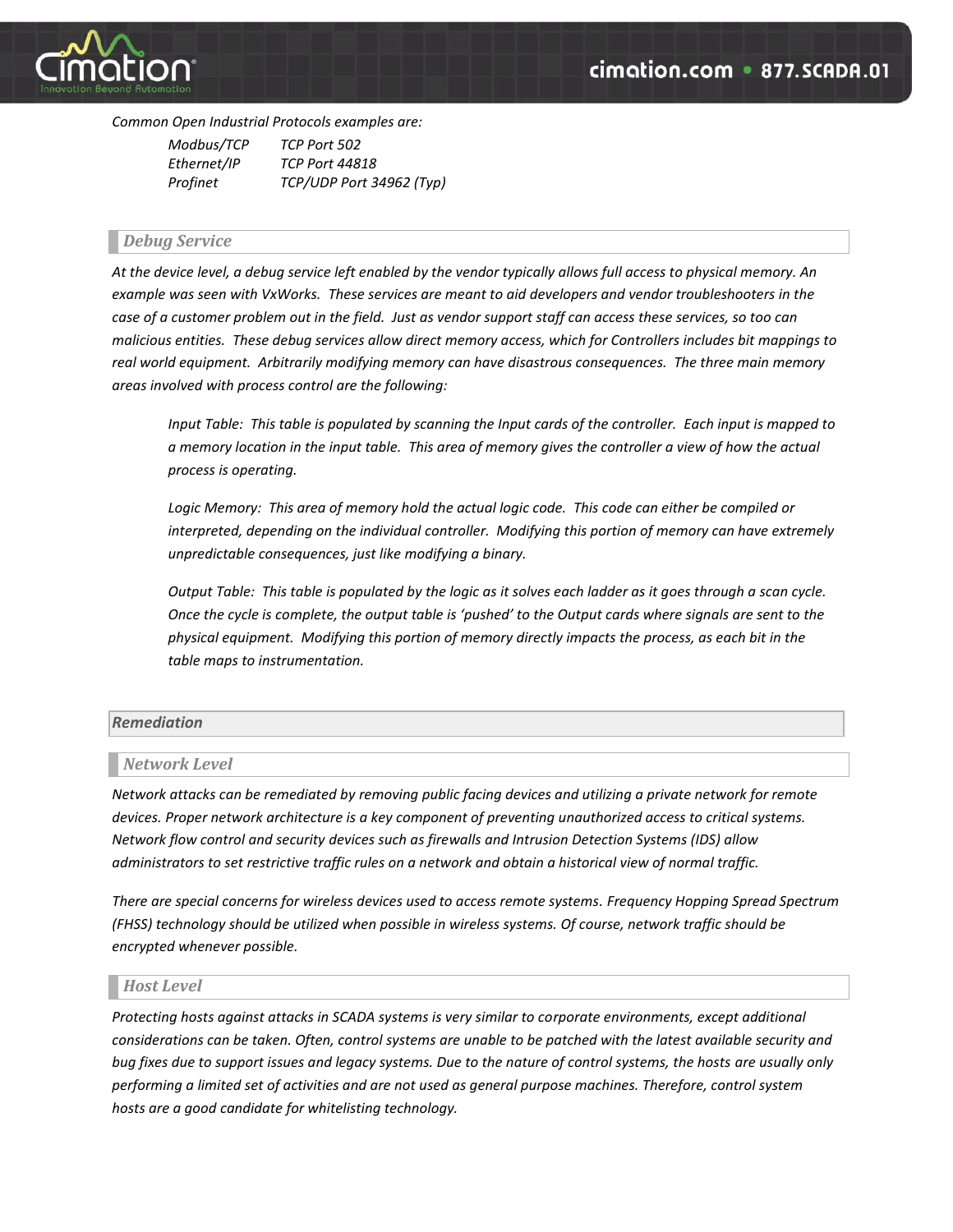

*Common Open Industrial Protocols examples are:*

| Modbus/TCP  | TCP Port 502             |
|-------------|--------------------------|
| Ethernet/IP | <b>TCP Port 44818</b>    |
| Profinet    | TCP/UDP Port 34962 (Typ) |

## <span id="page-5-0"></span>*Debug Service*

*At the device level, a debug service left enabled by the vendor typically allows full access to physical memory. An example was seen with VxWorks. These services are meant to aid developers and vendor troubleshooters in the case of a customer problem out in the field. Just as vendor support staff can access these services, so too can malicious entities. These debug services allow direct memory access, which for Controllers includes bit mappings to real world equipment. Arbitrarily modifying memory can have disastrous consequences. The three main memory areas involved with process control are the following:*

*Input Table: This table is populated by scanning the Input cards of the controller. Each input is mapped to a memory location in the input table. This area of memory gives the controller a view of how the actual process is operating.*

Logic Memory: This area of memory hold the actual logic code. This code can either be compiled or *interpreted, depending on the individual controller. Modifying this portion of memory can have extremely unpredictable consequences, just like modifying a binary.* 

*Output Table: This table is populated by the logic as it solves each ladder as it goes through a scan cycle. Once the cycle is complete, the output table is 'pushed' to the Output cards where signals are sent to the physical equipment. Modifying this portion of memory directly impacts the process, as each bit in the table maps to instrumentation.*

## <span id="page-5-1"></span>*Remediation*

## <span id="page-5-2"></span>*Network Level*

*Network attacks can be remediated by removing public facing devices and utilizing a private network for remote devices. Proper network architecture is a key component of preventing unauthorized access to critical systems. Network flow control and security devices such as firewalls and Intrusion Detection Systems (IDS) allow administrators to set restrictive traffic rules on a network and obtain a historical view of normal traffic.*

*There are special concerns for wireless devices used to access remote systems. Frequency Hopping Spread Spectrum (FHSS) technology should be utilized when possible in wireless systems. Of course, network traffic should be encrypted whenever possible.*

## <span id="page-5-3"></span>*Host Level*

*Protecting hosts against attacks in SCADA systems is very similar to corporate environments, except additional considerations can be taken. Often, control systems are unable to be patched with the latest available security and bug fixes due to support issues and legacy systems. Due to the nature of control systems, the hosts are usually only performing a limited set of activities and are not used as general purpose machines. Therefore, control system hosts are a good candidate for whitelisting technology.*